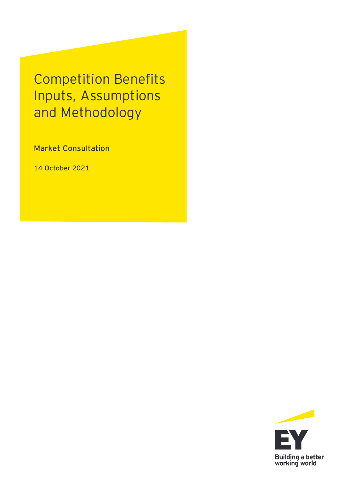Competition Benefits Inputs, Assumptions and Methodology

Market Consultation

**14 October 2021**

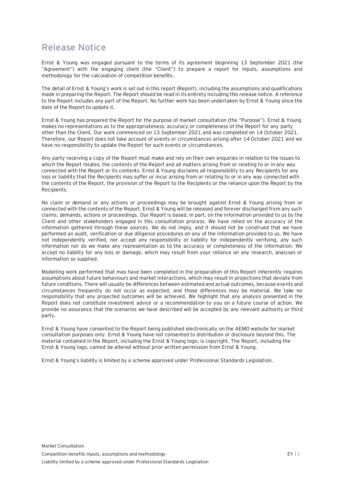## **Release Notice**

Ernst & Young was engaged pursuant to the terms of its agreement beginning 13 September 2021 (the "Agreement") with the engaging client (the "Client") to prepare a report for inputs, assumptions and methodology for the calculation of competition benefits.

The detail of Ernst & Young's work is set out in this report (Report), including the assumptions and qualifications made in preparing the Report. The Report should be read in its entirety including this release notice. A reference to the Report includes any part of the Report. No further work has been undertaken by Ernst & Young since the date of the Report to update it.

Ernst & Young has prepared the Report for the purpose of market consultation (the "Purpose"). Ernst & Young makes no representations as to the appropriateness, accuracy or completeness of the Report for any party other than the Client. Our work commenced on 13 September 2021 and was completed on 14 October 2021. Therefore, our Report does not take account of events or circumstances arising after 14 October 2021 and we have no responsibility to update the Report for such events or circumstances.

Any party receiving a copy of the Report must make and rely on their own enquiries in relation to the issues to which the Report relates, the contents of the Report and all matters arising from or relating to or in any way connected with the Report or its contents. Ernst & Young disclaims all responsibility to any Recipients for any loss or liability that the Recipients may suffer or incur arising from or relating to or in any way connected with the contents of the Report, the provision of the Report to the Recipients or the reliance upon the Report by the Recipients.

No claim or demand or any actions or proceedings may be brought against Ernst & Young arising from or connected with the contents of the Report. Ernst & Young will be released and forever discharged from any such claims, demands, actions or proceedings. Our Report is based, in part, on the information provided to us by the Client and other stakeholders engaged in this consultation process. We have relied on the accuracy of the information gathered through these sources. We do not imply, and it should not be construed that we have performed an audit, verification or due diligence procedures on any of the information provided to us. We have not independently verified, nor accept any responsibility or liability for independently verifying, any such information nor do we make any representation as to the accuracy or completeness of the information. We accept no liability for any loss or damage, which may result from your reliance on any research, analyses or information so supplied.

Modelling work performed that may have been completed in the preparation of this Report inherently requires assumptions about future behaviours and market interactions, which may result in projections that deviate from future conditions. There will usually be differences between estimated and actual outcomes, because events and circumstances frequently do not occur as expected, and those differences may be material. We take no responsibility that any projected outcomes will be achieved. We highlight that any analysis presented in the Report does not constitute investment advice or a recommendation to you on a future course of action. We provide no assurance that the scenarios we have described will be accepted by any relevant authority or third party.

Ernst & Young have consented to the Report being published electronically on the AEMO website for market consultation purposes only. Ernst & Young have not consented to distribution or disclosure beyond this. The material contained in the Report, including the Ernst & Young logo, is copyright. The Report, including the Ernst & Young logo, cannot be altered without prior written permission from Ernst & Young.

Ernst & Young's liability is limited by a scheme approved under Professional Standards Legislation.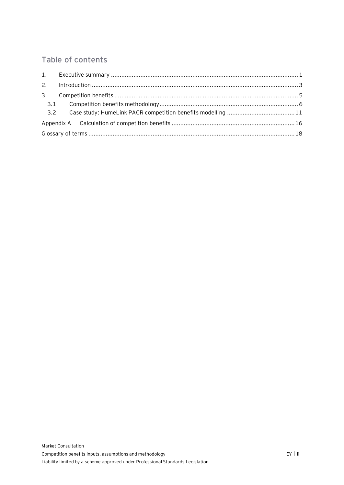## Table of contents

| 3.  |  |  |  |  |  |
|-----|--|--|--|--|--|
| 3.1 |  |  |  |  |  |
| 3.2 |  |  |  |  |  |
|     |  |  |  |  |  |
|     |  |  |  |  |  |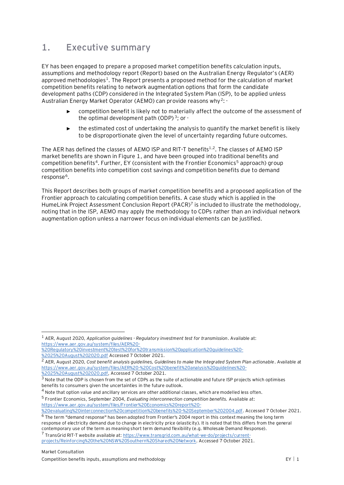## <span id="page-3-0"></span>**1. Executive summary**

EY has been engaged to prepare a proposed market competition benefits calculation inputs, assumptions and methodology report (Report) based on the Australian Energy Regulator's (AER) approved methodologies<sup>1</sup>. The Report presents a proposed method for the calculation of market competition benefits relating to network augmentation options that form the candidate development paths (CDP) considered in the Integrated System Plan (ISP), to be applied unless Australian Energy Market Operator (AEMO) can provide reasons why<sup>2</sup>: ·

- <span id="page-3-2"></span><span id="page-3-1"></span>competition benefit is likely not to materially affect the outcome of the assessment of the optimal development path (ODP)<sup>3</sup>; or  $\cdot$
- <span id="page-3-3"></span>► the estimated cost of undertaking the analysis to quantify the market benefit is likely to be disproportionate given the level of uncertainty regarding future outcomes.

The AER has defined the classes of AEMO ISP and RIT-T benefits $1.2$  $1.2$ . The classes of AEMO ISP market benefits are shown in [Figure 1,](#page-4-0) and have been grouped into traditional benefits and competition benefits<sup>4</sup>. Further, EY (consistent with the Frontier Economics<sup>5</sup> approach) group competition benefits into competition cost savings and competition benefits due to demand response<sup>6</sup>.

This Report describes both groups of market competition benefits and a proposed application of the Frontier approach to calculating competition benefits. A case study which is applied in the HumeLink Project Assessment Conclusion Report (PACR)<sup>7</sup> is included to illustrate the methodology, noting that in the ISP, AEMO may apply the methodology to CDPs rather than an individual network augmentation option unless a narrower focus on individual elements can be justified.

<sup>4</sup> Note that option value and ancillary services are other additional classes, which are modelled less often. 5 Frontier Economics, September 2004, *Evaluating interconnection competition benefits.* Available at:

<sup>7</sup> TransGrid RIT-T website available at: [https://www.transgrid.com.au/what-we-do/projects/current-](https://www.transgrid.com.au/what-we-do/projects/current-projects/Reinforcing%20the%20NSW%20Southern%20Shared%20Network)

<sup>1</sup> AER, August 2020, *Application guidelines - Regulatory investment test for transmission*. Available at: [https://www.aer.gov.au/system/files/AER%20-](https://www.aer.gov.au/system/files/AER%20-%20Regulatory%20investment%20test%20for%20transmission%20application%20guidelines%20-%2025%20August%202020.pdf)

[<sup>%20</sup>Regulatory%20investment%20test%20for%20transmission%20application%20guidelines%20-](https://www.aer.gov.au/system/files/AER%20-%20Regulatory%20investment%20test%20for%20transmission%20application%20guidelines%20-%2025%20August%202020.pdf) [%2025%20August%202020.pdf](https://www.aer.gov.au/system/files/AER%20-%20Regulatory%20investment%20test%20for%20transmission%20application%20guidelines%20-%2025%20August%202020.pdf) Accessed 7 October 2021.

<sup>2</sup> AER, August 2020, *Cost benefit analysis guidelines, Guidelines to make the Integrated System Plan actionable*. Available at [https://www.aer.gov.au/system/files/AER%20-%20Cost%20benefit%20analysis%20guidelines%20-](https://www.aer.gov.au/system/files/AER%20-%20Cost%20benefit%20analysis%20guidelines%20-%2025%20August%202020.pdf) [%2025%20August%202020.pdf,](https://www.aer.gov.au/system/files/AER%20-%20Cost%20benefit%20analysis%20guidelines%20-%2025%20August%202020.pdf) Accessed 7 October 2021.

 $3$  Note that the ODP is chosen from the set of CDPs as the suite of actionable and future ISP projects which optimises benefits to consumers given the uncertainties in the future outlook.

[https://www.aer.gov.au/system/files/Frontier%20Economics%20report%20-](https://www.aer.gov.au/system/files/Frontier%20Economics%20report%20-%20evaluating%20interconnection%20competition%20benefits%20-%20September%202004.pdf)

[<sup>%20</sup>evaluating%20interconnection%20competition%20benefits%20-%20September%202004.pdf.](https://www.aer.gov.au/system/files/Frontier%20Economics%20report%20-%20evaluating%20interconnection%20competition%20benefits%20-%20September%202004.pdf) Accessed 7 October 2021.

<sup>&</sup>lt;sup>6</sup> The term "demand response" has been adopted from Frontier's 2004 report in this context meaning the long term response of electricity demand due to change in electricity price (elasticity). It is noted that this differs from the general contemporary use of the term as meaning short term demand flexibility (e.g. Wholesale Demand Response).

[projects/Reinforcing%20the%20NSW%20Southern%20Shared%20Network.](https://www.transgrid.com.au/what-we-do/projects/current-projects/Reinforcing%20the%20NSW%20Southern%20Shared%20Network) Accessed 7 October 2021.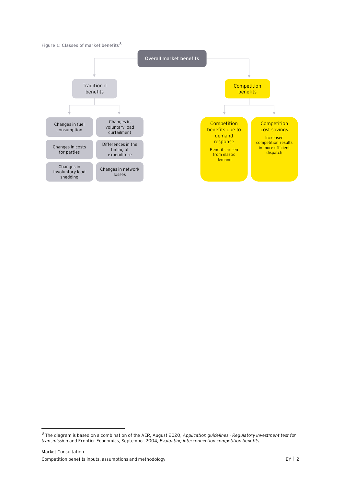#### <span id="page-4-0"></span>**Figure 1: Classes of market benefits<sup>8</sup>**



<sup>8</sup> The diagram is based on a combination of the AER, August 2020, *Application guidelines - Regulatory investment test for transmission* and Frontier Economics, September 2004, *Evaluating interconnection competition benefits.*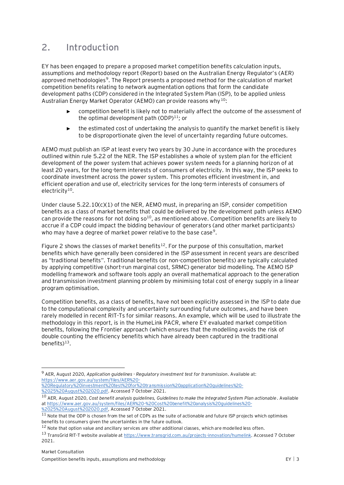## <span id="page-5-0"></span>**2. Introduction**

EY has been engaged to prepare a proposed market competition benefits calculation inputs, assumptions and methodology report (Report) based on the Australian Energy Regulator's (AER) approved methodologies<sup>9</sup>. The Report presents a proposed method for the calculation of market competition benefits relating to network augmentation options that form the candidate development paths (CDP) considered in the Integrated System Plan (ISP), to be applied unless Australian Energy Market Operator (AEMO) can provide reasons why<sup>10</sup>:

- <span id="page-5-2"></span><span id="page-5-1"></span>competition benefit is likely not to materially affect the outcome of the assessment of the optimal development path  $(ODP)^{11}$ ; or
- ► the estimated cost of undertaking the analysis to quantify the market benefit is likely to be disproportionate given the level of uncertainty regarding future outcomes.

AEMO must publish an ISP at least every two years by 30 June in accordance with the procedures outlined within rule 5.22 of the NER. The ISP establishes a whole of system plan for the efficient development of the power system that achieves power system needs for a planning horizon of at least 20 years, for the long-term interests of consumers of electricity. In this way, the ISP seeks to coordinate investment across the power system. This promotes efficient investment in, and efficient operation and use of, electricity services for the long-term interests of consumers of electricity $10$ .

Under clause 5.22.10(c)(1) of the NER, AEMO must, in preparing an ISP, consider competition benefits as a class of market benefits that could be delivered by the development path unless AEMO can provide the reasons for not doing  $\delta^{10}$  $\delta^{10}$  $\delta^{10}$ , as mentioned above. Competition benefits are likely to accrue if a CDP could impact the bidding behaviour of generators (and other market participants) who may have a degree of market power relative to the base case<sup>[9](#page-5-2)</sup>.

[Figure 2](#page-6-0) shows the classes of market benefits<sup>12</sup>. For the purpose of this consultation, market benefits which have generally been considered in the ISP assessment in recent years are described as "traditional benefits". Traditional benefits (or non-competition benefits) are typically calculated by applying competitive (short-run marginal cost, SRMC) generator bid modelling. The AEMO ISP modelling framework and software tools apply an overall mathematical approach to the generation and transmission investment planning problem by minimising total cost of energy supply in a linear program optimisation.

Competition benefits, as a class of benefits, have not been explicitly assessed in the ISP to date due to the computational complexity and uncertainty surrounding future outcomes, and have been rarely modelled in recent RIT-Ts for similar reasons. An example, which will be used to illustrate the methodology in this report, is in the HumeLink PACR, where EY evaluated market competition benefits, following the Frontier approach (which ensures that the modelling avoids the risk of double counting the efficiency benefits which have already been captured in the traditional benefits)<sup>13</sup>.

[%20Regulatory%20investment%20test%20for%20transmission%20application%20guidelines%20-](https://www.aer.gov.au/system/files/AER%20-%20Regulatory%20investment%20test%20for%20transmission%20application%20guidelines%20-%2025%20August%202020.pdf) [%2025%20August%202020.pdf.](https://www.aer.gov.au/system/files/AER%20-%20Regulatory%20investment%20test%20for%20transmission%20application%20guidelines%20-%2025%20August%202020.pdf) Accessed 7 October 2021.

<sup>9</sup> AER, August 2020, *Application guidelines - Regulatory investment test for transmission*. Available at: [https://www.aer.gov.au/system/files/AER%20-](https://www.aer.gov.au/system/files/AER%20-%20Regulatory%20investment%20test%20for%20transmission%20application%20guidelines%20-%2025%20August%202020.pdf)

<sup>10</sup> AER, August 2020, *Cost benefit analysis guidelines, Guidelines to make the Integrated System Plan actionable*. Available a[t https://www.aer.gov.au/system/files/AER%20-%20Cost%20benefit%20analysis%20guidelines%20-](https://www.aer.gov.au/system/files/AER%20-%20Cost%20benefit%20analysis%20guidelines%20-%2025%20August%202020.pdf) [%2025%20August%202020.pdf,](https://www.aer.gov.au/system/files/AER%20-%20Cost%20benefit%20analysis%20guidelines%20-%2025%20August%202020.pdf) Accessed 7 October 2021.

 $11$  Note that the ODP is chosen from the set of CDPs as the suite of actionable and future ISP projects which optimises benefits to consumers given the uncertainties in the future outlook.

<sup>&</sup>lt;sup>12</sup> Note that option value and ancillary services are other additional classes, which are modelled less often.

<sup>13</sup> TransGrid RIT-T website available at [https://www.transgrid.com.au/projects-innovation/humelink.](https://www.transgrid.com.au/projects-innovation/humelink) Accessed 7 October 2021.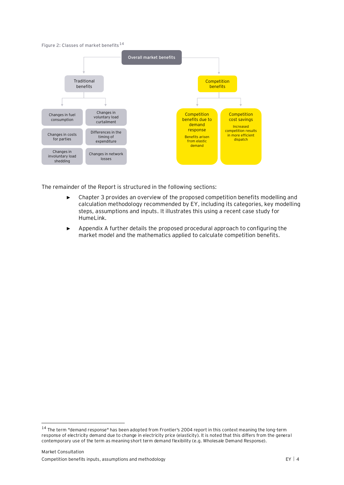#### <span id="page-6-0"></span>**Figure 2: Classes of market benefits<sup>14</sup>**



The remainder of the Report is structured in the following sections:

- ► Chapter 3 provides an overview of the proposed competition benefits modelling and calculation methodology recommended by EY, including its categories, key modelling steps, assumptions and inputs. It illustrates this using a recent case study for HumeLink.
- Appendix A further details the proposed procedural approach to configuring the market model and the mathematics applied to calculate competition benefits.

<sup>14</sup> The term "demand response" has been adopted from Frontier's 2004 report in this context meaning the long-term response of electricity demand due to change in electricity price (elasticity). It is noted that this differs from the general contemporary use of the term as meaning short term demand flexibility (e.g. Wholesale Demand Response).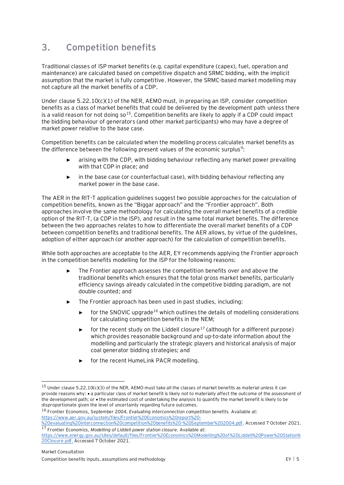# <span id="page-7-0"></span>**3. Competition benefits**

Traditional classes of ISP market benefits (e.g. capital expenditure (capex), fuel, operation and maintenance) are calculated based on competitive dispatch and SRMC bidding, with the implicit assumption that the market is fully competitive. However, the SRMC-based market modelling may not capture all the market benefits of a CDP.

Under clause 5.22.10(c)(1) of the NER, AEMO must, in preparing an ISP, consider competition benefits as a class of market benefits that could be delivered by the development path unless there is a valid reason for not doing so  $15$ . Competition benefits are likely to apply if a CDP could impact the bidding behaviour of generators (and other market participants) who may have a degree of market power relative to the base case.

Competition benefits can be calculated when the modelling process calculates market benefits as the difference between the following present values of the economic surplus<sup>[9](#page-5-2)</sup>:

- arising with the CDP, with bidding behaviour reflecting any market power prevailing with that CDP in place; and
- ► in the base case (or counterfactual case), with bidding behaviour reflecting any market power in the base case.

The AER in the RIT-T application guidelines suggest two possible approaches for the calculation of competition benefits, known as the "Biggar approach" and the "Frontier approach". Both approaches involve the same methodology for calculating the overall market benefits of a credible option of the RIT-T, (a CDP in the ISP), and result in the same total market benefits. The difference between the two approaches relates to how to differentiate the overall market benefits of a CDP between competition benefits and traditional benefits. The AER allows, by virtue of the guidelines, adoption of either approach (or another approach) for the calculation of competition benefits.

While both approaches are acceptable to the AER, EY recommends applying the Frontier approach in the competition benefits modelling for the ISP for the following reasons:

- The Frontier approach assesses the competition benefits over and above the traditional benefits which ensures that the total gross market benefits, particularly efficiency savings already calculated in the competitive bidding paradigm, are not double counted; and
- <span id="page-7-2"></span><span id="page-7-1"></span>The Frontier approach has been used in past studies, including:
	- $\triangleright$  for the SNOVIC upgrade<sup>16</sup> which outlines the details of modelling considerations for calculating competition benefits in the NEM;
	- $\triangleright$  for the recent study on the Liddell closure<sup>17</sup> (although for a different purpose) which provides reasonable background and up-to-date information about the modelling and particularly the strategic players and historical analysis of major coal generator bidding strategies; and
	- ► for the recent HumeLink PACR modelling.

 $15$  Under clause 5.22.10(c)(3) of the NER, AEMO must take all the classes of market benefits as material unless it can provide reasons why: • a particular class of market benefit is likely not to materially affect the outcome of the assessment of the development path; or • the estimated cost of undertaking the analysis to quantify the market benefit is likely to be disproportionate given the level of uncertainty regarding future outcomes.

<sup>16</sup> Frontier Economics, September 2004, *Evaluating interconnection competition benefits.* Available at: [https://www.aer.gov.au/system/files/Frontier%20Economics%20report%20-](https://www.aer.gov.au/system/files/Frontier%20Economics%20report%20-%20evaluating%20interconnection%20competition%20benefits%20-%20September%202004.pdf)

[<sup>%20</sup>evaluating%20interconnection%20competition%20benefits%20-%20September%202004.pdf.](https://www.aer.gov.au/system/files/Frontier%20Economics%20report%20-%20evaluating%20interconnection%20competition%20benefits%20-%20September%202004.pdf) Accessed 7 October 2021. <sup>17</sup> Frontier Economics, *Modelling of Liddell power station closure.* Available at:

[https://www.energy.gov.au/sites/default/files/Frontier%20Economics%20Modelling%20of%20Liddell%20Power%20Station%](https://www.energy.gov.au/sites/default/files/Frontier%20Economics%20Modelling%20of%20Liddell%20Power%20Station%20Closure.pdf) [20Closure.pdf.](https://www.energy.gov.au/sites/default/files/Frontier%20Economics%20Modelling%20of%20Liddell%20Power%20Station%20Closure.pdf) Accessed 7 October 2021.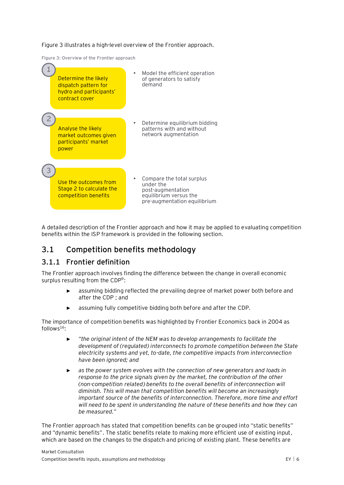[Figure 3](#page-8-1) illustrates a high-level overview of the Frontier approach.

<span id="page-8-1"></span>**Figure 3: Overview of the Frontier approach**



A detailed description of the Frontier approach and how it may be applied to evaluating competition benefits within the ISP framework is provided in the following section.

### <span id="page-8-0"></span>**3.1 Competition benefits methodology**

#### **3.1.1 Frontier definition**

The Frontier approach involves finding the difference between the change in overall economic surplus resulting from the CDP<sup>[9](#page-5-2)</sup>:

- assuming bidding reflected the prevailing degree of market power both before and after the CDP ; and
- assuming fully competitive bidding both before and after the CDP.

The importance of competition benefits was highlighted by Frontier Economics back in 2004 as  $follows<sup>16</sup>$  $follows<sup>16</sup>$  $follows<sup>16</sup>$ :

- ► "*the original intent of the NEM was to develop arrangements to facilitate the development of (regulated) interconnects to promote competition between the State electricity systems and yet, to-date, the competitive impacts from interconnection have been ignored; and*
- as the power system evolves with the connection of new generators and loads in *response to the price signals given by the market, the contribution of the other (non-competition related) benefits to the overall benefits of interconnection will diminish. This will mean that competition benefits will become an increasingly important source of the benefits of interconnection. Therefore, more time and effort will need to be spent in understanding the nature of these benefits and how they can be measured.*"

The Frontier approach has stated that competition benefits can be grouped into "static benefits" and "dynamic benefits". The static benefits relate to making more efficient use of existing input, which are based on the changes to the dispatch and pricing of existing plant. These benefits are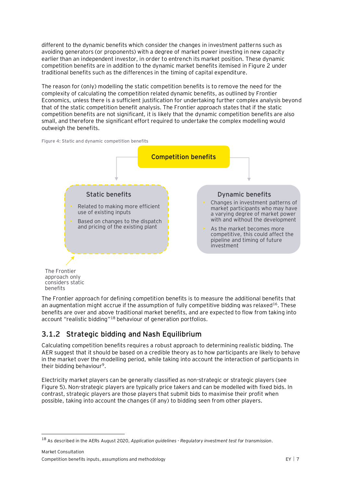different to the dynamic benefits which consider the changes in investment patterns such as avoiding generators (or proponents) with a degree of market power investing in new capacity earlier than an independent investor, in order to entrench its market position. These dynamic competition benefits are in addition to the dynamic market benefits itemised in [Figure 2](#page-6-0) under traditional benefits such as the differences in the timing of capital expenditure.

The reason for (only) modelling the static competition benefits is to remove the need for the complexity of calculating the competition related dynamic benefits, as outlined by Frontier Economics, unless there is a sufficient justification for undertaking further complex analysis beyond that of the static competition benefit analysis. The Frontier approach states that if the static competition benefits are not significant, it is likely that the dynamic competition benefits are also small, and therefore the significant effort required to undertake the complex modelling would outweigh the benefits.





The Frontier approach for defining competition benefits is to measure the additional benefits that an augmentation might accrue if the assumption of fully competitive bidding was relaxed<sup>[16](#page-7-1)</sup>. These benefits are over and above traditional market benefits, and are expected to flow from taking into account "realistic bidding"<sup>18</sup> behaviour of generation portfolios. considers static benefits

## <span id="page-9-0"></span>**3.1.2 Strategic bidding and Nash Equilibrium**

Calculating competition benefits requires a robust approach to determining realistic bidding. The AER suggest that it should be based on a credible theory as to how participants are likely to behave in the market over the modelling period, while taking into account the interaction of participants in their bidding behaviour<sup>[9](#page-5-2)</sup>.

Electricity market players can be generally classified as non-strategic or strategic players (see [Figure 5\)](#page-10-0). Non-strategic players are typically price takers and can be modelled with fixed bids. In contrast, strategic players are those players that submit bids to maximise their profit when possible, taking into account the changes (if any) to bidding seen from other players.

<sup>18</sup> As described in the AERs August 2020, *Application guidelines - Regulatory investment test for transmission*.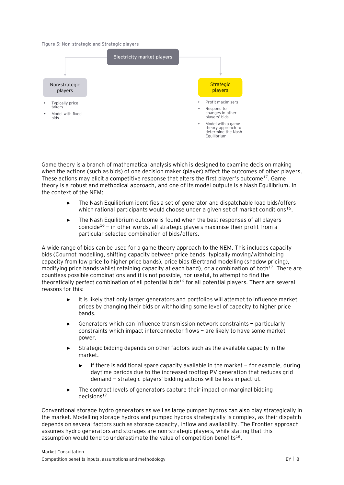<span id="page-10-0"></span>**Figure 5: Non-strategic and Strategic players**



Game theory is a branch of mathematical analysis which is designed to examine decision making when the actions (such as bids) of one decision maker (player) affect the outcomes of other players. These actions may elicit a competitive response that alters the first player's outcome<sup>[17](#page-7-2)</sup>. Game theory is a robust and methodical approach, and one of its model outputs is a Nash Equilibrium. In the context of the NEM:

- ► The Nash Equilibrium identifies a set of generator and dispatchable load bids/offers which rational participants would choose under a given set of market conditions<sup>[16](#page-7-1)</sup>.
- ► The Nash Equilibrium outcome is found when the best responses of all players coincide<sup>[16](#page-7-1)</sup> – in other words, all strategic players maximise their profit from a particular selected combination of bids/offers.

A wide range of bids can be used for a game theory approach to the NEM. This includes capacity bids (Cournot modelling, shifting capacity between price bands, typically moving/withholding capacity from low price to higher price bands), price bids (Bertrand modelling (shadow pricing), modifying price bands whilst retaining capacity at each band), or a combination of both<sup>[17](#page-7-2)</sup>. There are countless possible combinations and it is not possible, nor useful, to attempt to find the theoretically perfect combination of all potential bids<sup>[16](#page-7-1)</sup> for all potential players. There are several reasons for this:

- ► It is likely that only larger generators and portfolios will attempt to influence market prices by changing their bids or withholding some level of capacity to higher price bands.
- Generators which can influence transmission network constraints particularly constraints which impact interconnector flows — are likely to have some market power.
- Strategic bidding depends on other factors such as the available capacity in the market.
	- ► If there is additional spare capacity available in the market for example, during daytime periods due to the increased rooftop PV generation that reduces grid demand — strategic players' bidding actions will be less impactful.
- The contract levels of generators capture their impact on marginal bidding  $decisions<sup>17</sup>$  $decisions<sup>17</sup>$  $decisions<sup>17</sup>$ .

Conventional storage hydro generators as well as large pumped hydros can also play strategically in the market. Modelling storage hydros and pumped hydros strategically is complex, as their dispatch depends on several factors such as storage capacity, inflow and availability. The Frontier approach assumes hydro generators and storages are non-strategic players, while stating that this assumption would tend to underestimate the value of competition benefits<sup>[16](#page-7-1)</sup>.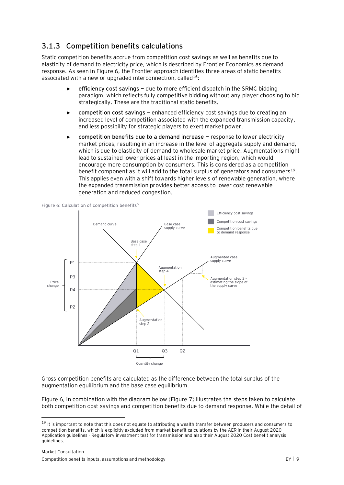### **3.1.3 Competition benefits calculations**

Static competition benefits accrue from competition cost savings as well as benefits due to elasticity of demand to electricity price, which is described by Frontier Economics as demand response. As seen in [Figure 6,](#page-11-0) the Frontier approach identifies three areas of static benefits associated with a new or upgraded interconnection, called<sup>[16](#page-7-1)</sup>:

- ► **efficiency cost savings** due to more efficient dispatch in the SRMC bidding paradigm, which reflects fully competitive bidding without any player choosing to bid strategically. These are the traditional static benefits.
- ► **competition cost savings** enhanced efficiency cost savings due to creating an increased level of competition associated with the expanded transmission capacity, and less possibility for strategic players to exert market power.
- ► **competition benefits due to a demand increase** response to lower electricity market prices, resulting in an increase in the level of aggregate supply and demand, which is due to elasticity of demand to wholesale market price. Augmentations might lead to sustained lower prices at least in the importing region, which would encourage more consumption by consumers. This is considered as a competition benefit component as it will add to the total surplus of generators and consumers $^{19}$ . This applies even with a shift towards higher levels of renewable generation, where the expanded transmission provides better access to lower cost renewable generation and reduced congestion.



<span id="page-11-0"></span>**Figure 6: Calculation of competition benefit[s](#page-3-3)<sup>5</sup>**

Gross competition benefits are calculated as the difference between the total surplus of the augmentation equilibrium and the base case equilibrium.

[Figure 6,](#page-11-0) in combination with the diagram below [\(Figure 7\)](#page-13-1) illustrates the steps taken to calculate both competition cost savings and competition benefits due to demand response. While the detail of

<sup>&</sup>lt;sup>19</sup> It is important to note that this does not equate to attributing a wealth transfer between producers and consumers to competition benefits, which is explicitly excluded from market benefit calculations by the AER in their August 2020 Application guidelines - Regulatory investment test for transmission and also their August 2020 Cost benefit analysis guidelines.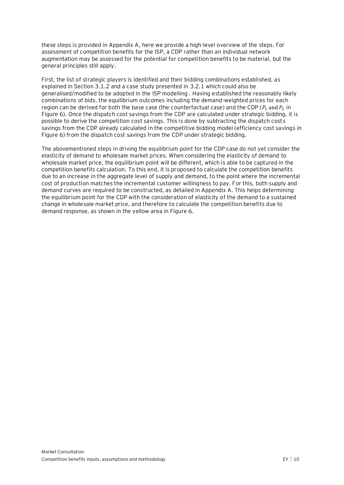these steps is provided in Appendix A, here we provide a high-level overview of the steps. For assessment of competition benefits for the ISP, a CDP rather than an individual network augmentation may be assessed for the potential for competition benefits to be material, but the general principles still apply.

First, the list of strategic players is identified and their bidding combinations established, as explained in Section [3.1.2](#page-9-0) and a case study presented in [3.2.1](#page-14-0) which could also be generalised/modified to be adopted in the ISP modelling . Having established the reasonably likely combinations of bids, the equilibrium outcomes including the demand-weighted prices for each region can be derived for both the base case (the counterfactual case) and the CDP ( $P_1$  and  $P_2$  in [Figure 6\)](#page-11-0). Once the dispatch cost savings from the CDP are calculated under strategic bidding, it is possible to derive the competition cost savings. This is done by subtracting the dispatch costs savings from the CDP already calculated in the competitive bidding model (efficiency cost savings in [Figure 6\)](#page-11-0) from the dispatch cost savings from the CDP under strategic bidding.

The abovementioned steps in driving the equilibrium point for the CDP case do not yet consider the elasticity of demand to wholesale market prices. When considering the elasticity of demand to wholesale market price, the equilibrium point will be different, which is able to be captured in the competition benefits calculation. To this end, it is proposed to calculate the competition benefits due to an increase in the aggregate level of supply and demand, to the point where the incremental cost of production matches the incremental customer willingness to pay. For this, both supply and demand curves are required to be constructed, as detailed in Appendix A. This helps determining the equilibrium point for the CDP with the consideration of elasticity of the demand to a sustained change in wholesale market price, and therefore to calculate the competition benefits due to demand response, as shown in the yellow area in [Figure 6.](#page-11-0)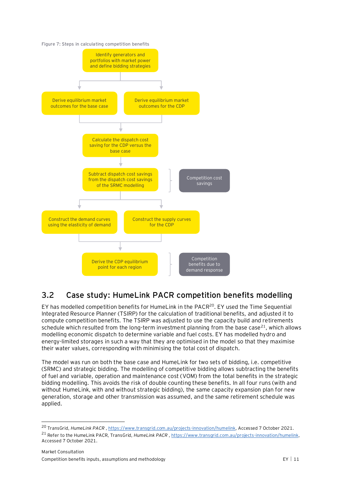<span id="page-13-1"></span>

## <span id="page-13-0"></span>**3.2 Case study: HumeLink PACR competition benefits modelling**

EY has modelled competition benefits for HumeLink in the PACR<sup>20</sup>. EY used the Time Sequential Integrated Resource Planner (TSIRP) for the calculation of traditional benefits, and adjusted it to compute competition benefits. The TSIRP was adjusted to use the capacity build and retirements schedule which resulted from the long-term investment planning from the base case<sup>21</sup>, which allows modelling economic dispatch to determine variable and fuel costs. EY has modelled hydro and energy-limited storages in such a way that they are optimised in the model so that they maximise their water values, corresponding with minimising the total cost of dispatch.

The model was run on both the base case and HumeLink for two sets of bidding, i.e. competitive (SRMC) and strategic bidding. The modelling of competitive bidding allows subtracting the benefits of fuel and variable, operation and maintenance cost (VOM) from the total benefits in the strategic bidding modelling. This avoids the risk of double counting these benefits. In all four runs (with and without HumeLink, with and without strategic bidding), the same capacity expansion plan for new generation, storage and other transmission was assumed, and the same retirement schedule was applied.

<sup>20</sup> TransGrid, *HumeLink PACR* , [https://www.transgrid.com.au/projects-innovation/humelink,](https://www.transgrid.com.au/projects-innovation/humelink) Accessed 7 October 2021. <sup>21</sup> Refer to the HumeLink PACR, TransGrid, *HumeLink PACR*, [https://www.transgrid.com.au/projects-innovation/humelink,](https://www.transgrid.com.au/projects-innovation/humelink) Accessed 7 October 2021.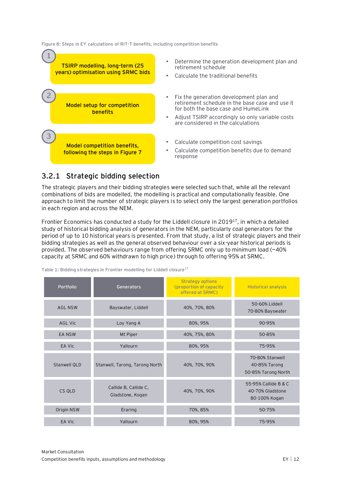**Figure 8: Steps in EY calculations of RIT-T benefits, including competition benefits**



### <span id="page-14-0"></span>**3.2.1 Strategic bidding selection**

The strategic players and their bidding strategies were selected such that, while all the relevant combinations of bids are modelled, the modelling is practical and computationally feasible. One approach to limit the number of strategic players is to select only the largest generation portfolios in each region and across the NEM.

Frontier Economics has conducted a study for the Liddell closure in  $2019^{17}$  $2019^{17}$  $2019^{17}$ , in which a detailed study of historical bidding analysis of generators in the NEM, particularly coal generators for the period of up to 10 historical years is presented. From that study, a list of strategic players and their bidding strategies as well as the general observed behaviour over a six-year historical periods is provided. The observed behaviours range from offering SRMC only up to minimum load (~40% capacity at SRMC and 60% withdrawn to high price) through to offering 95% at SRMC.

| Portfolio           | Generators                                | <b>Strategy options</b><br>(proportion of capacity)<br>offered at SRMC) | <b>Historical analysis</b>                                |
|---------------------|-------------------------------------------|-------------------------------------------------------------------------|-----------------------------------------------------------|
| <b>AGL NSW</b>      | Bayswater, Liddell                        | 40%, 70%, 80%                                                           | 50-60% Liddell<br>70-80% Bayswater                        |
| <b>AGL Vic</b>      | Loy Yang A                                | 80%, 95%                                                                | 90-95%                                                    |
| <b>EA NSW</b>       | Mt Piper                                  | 40%, 75%, 80%                                                           | 50-85%                                                    |
| EA Vic              | Yallourn                                  | 80%, 95%                                                                | 75-95%                                                    |
| <b>Stanwell QLD</b> | Stanwell, Tarong, Tarong North            | 40%, 70%, 90%                                                           | 70-80% Stanwell<br>40-85% Tarong<br>50-85% Tarong North   |
| CS OLD              | Callide B, Callide C,<br>Gladstone, Kogan | 40%, 70%, 90%                                                           | 55-95% Callide B & C<br>40-70% Gladstone<br>80-100% Kogan |
| Origin NSW          | Eraring                                   | 70%, 85%                                                                | 50-75%                                                    |
| EA Vic              | Yallourn                                  | 80%, 95%                                                                | 75-95%                                                    |

**Table 1: Bidding strategies in Frontier modelling for Liddell closure[17](#page-7-2)**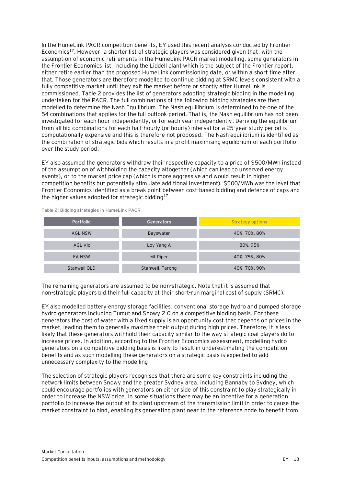In the HumeLink PACR competition benefits, EY used this recent analysis conducted by Frontier Economics<sup>[17](#page-7-2)</sup>. However, a shorter list of strategic players was considered given that, with the assumption of economic retirements in the HumeLink PACR market modelling, some generators in the Frontier Economics list, including the Liddell plant which is the subject of the Frontier report, either retire earlier than the proposed HumeLink commissioning date, or within a short time after that. Those generators are therefore modelled to continue bidding at SRMC levels consistent with a fully competitive market until they exit the market before or shortly after HumeLink is commissioned. [Table](#page-15-0) 2 provides the list of generators adopting strategic bidding in the modelling undertaken for the PACR. The full combinations of the following bidding strategies are then modelled to determine the Nash Equilibrium. The Nash equilibrium is determined to be one of the 54 combinations that applies for the full outlook period. That is, the Nash equilibrium has not been investigated for each hour independently, or for each year independently. Deriving the equilibrium from all bid combinations for each half-hourly (or hourly) interval for a 25-year study period is computationally expensive and this is therefore not proposed. The Nash equilibrium is identified as the combination of strategic bids which results in a profit maximising equilibrium of each portfolio over the study period.

EY also assumed the generators withdraw their respective capacity to a price of \$500/MWh instead of the assumption of withholding the capacity altogether (which can lead to unserved energy events), or to the market price cap (which is more aggressive and would result in higher competition benefits but potentially stimulate additional investment). \$500/MWh was the level that Frontier Economics identified as a break point between cost-based bidding and defence of caps and the higher values adopted for strategic bidding $17$ .

| Portfolio      | <b>Generators</b> | <b>Strategy options</b> |
|----------------|-------------------|-------------------------|
| <b>AGL NSW</b> | Bayswater         | 40%, 70%, 80%           |
| AGL Vic        | Loy Yang A        | 80%, 95%                |
| EA NSW         | Mt Piper          | 40%, 75%, 80%           |
| Stanwell QLD   | Stanwell, Tarong  | 40%, 70%, 90%           |

<span id="page-15-0"></span>**Table 2: Bidding strategies in HumeLink PACR**

The remaining generators are assumed to be non-strategic. Note that it is assumed that non-strategic players bid their full capacity at their short-run marginal cost of supply (SRMC).

EY also modelled battery energy storage facilities, conventional storage hydro and pumped storage hydro generators including Tumut and Snowy 2.0 on a competitive bidding basis. For these generators the cost of water with a fixed supply is an opportunity cost that depends on prices in the market, leading them to generally maximise their output during high prices. Therefore, it is less likely that these generators withhold their capacity similar to the way strategic coal players do to increase prices. In addition, according to the Frontier Economics assessment, modelling hydro generators on a competitive bidding basis is likely to result in underestimating the competition benefits and as such modelling these generators on a strategic basis is expected to add unnecessary complexity to the modelling

The selection of strategic players recognises that there are some key constraints including the network limits between Snowy and the greater Sydney area, including Bannaby to Sydney, which could encourage portfolios with generators on either side of this constraint to play strategically in order to increase the NSW price. In some situations there may be an incentive for a generation portfolio to increase the output at its plant upstream of the transmission limit in order to cause the market constraint to bind, enabling its generating plant near to the reference node to benefit from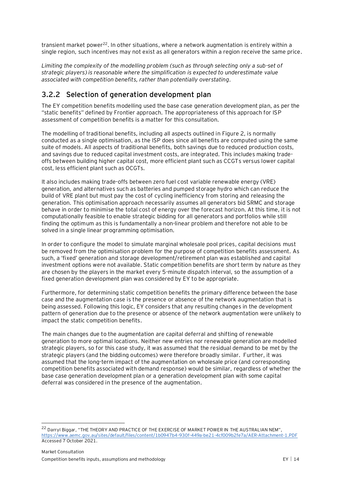transient market power<sup>22</sup>. In other situations, where a network augmentation is entirely within a single region, such incentives may not exist as all generators within a region receive the same price.

*Limiting the complexity of the modelling problem (such as through selecting only a sub-set of strategic players) is reasonable where the simplification is expected to underestimate value associated with competition benefits, rather than potentially overstating.*

#### **3.2.2 Selection of generation development plan**

The EY competition benefits modelling used the base case generation development plan, as per the "static benefits" defined by Frontier approach. The appropriateness of this approach for ISP assessment of competition benefits is a matter for this consultation.

The modelling of traditional benefits, including all aspects outlined in [Figure 2,](#page-6-0) is normally conducted as a single optimisation, as the ISP does since all benefits are computed using the same suite of models. All aspects of traditional benefits, both savings due to reduced production costs, and savings due to reduced capital investment costs, are integrated. This includes making tradeoffs between building higher capital cost, more efficient plant such as CCGTs versus lower capital cost, less efficient plant such as OCGTs.

It also includes making trade-offs between zero fuel cost variable renewable energy (VRE) generation, and alternatives such as batteries and pumped storage hydro which can reduce the build of VRE plant but must pay the cost of cycling inefficiency from storing and releasing the generation. This optimisation approach necessarily assumes all generators bid SRMC and storage behave in order to minimise the total cost of energy over the forecast horizon. At this time, it is not computationally feasible to enable strategic bidding for all generators and portfolios while still finding the optimum as this is fundamentally a non-linear problem and therefore not able to be solved in a single linear programming optimisation.

In order to configure the model to simulate marginal wholesale pool prices, capital decisions must be removed from the optimisation problem for the purpose of competition benefits assessment. As such, a 'fixed' generation and storage development/retirement plan was established and capital investment options were not available. Static competition benefits are short term by nature as they are chosen by the players in the market every 5-minute dispatch interval, so the assumption of a fixed generation development plan was considered by EY to be appropriate.

Furthermore, for determining static competition benefits the primary difference between the base case and the augmentation case is the presence or absence of the network augmentation that is being assessed. Following this logic, EY considers that any resulting changes in the development pattern of generation due to the presence or absence of the network augmentation were unlikely to impact the static competition benefits.

The main changes due to the augmentation are capital deferral and shifting of renewable generation to more optimal locations. Neither new entries nor renewable generation are modelled strategic players, so for this case study, it was assumed that the residual demand to be met by the strategic players (and the bidding outcomes) were therefore broadly similar. Further, it was assumed that the long-term impact of the augmentation on wholesale price (and corresponding competition benefits associated with demand response) would be similar, regardless of whether the base case generation development plan or a generation development plan with some capital deferral was considered in the presence of the augmentation.

<sup>&</sup>lt;sup>22</sup> Darryl Biggar, "THE THEORY AND PRACTICE OF THE EXERCISE OF MARKET POWER IN THE AUSTRALIAN NEM", <https://www.aemc.gov.au/sites/default/files/content/1b0947b4-930f-449a-be21-4cf009b2fe7a/AER-Attachment-1.PDF> Accessed 7 October 2021.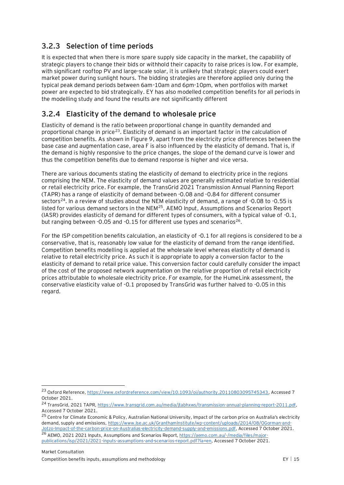### **3.2.3 Selection of time periods**

It is expected that when there is more spare supply side capacity in the market, the capability of strategic players to change their bids or withhold their capacity to raise prices is low. For example, with significant rooftop PV and large-scale solar, it is unlikely that strategic players could exert market power during sunlight hours. The bidding strategies are therefore applied only during the typical peak demand periods between 6am-10am and 6pm-10pm, when portfolios with market power are expected to bid strategically. EY has also modelled competition benefits for all periods in the modelling study and found the results are not significantly different

#### **3.2.4 Elasticity of the demand to wholesale price**

Elasticity of demand is the ratio between proportional change in quantity demanded and proportional change in price<sup>23</sup>. Elasticity of demand is an important factor in the calculation of competition benefits. As shown in [Figure 9,](#page-19-0) apart from the electricity price differences between the base case and augmentation case, area F is also influenced by the elasticity of demand. That is, if the demand is highly responsive to the price changes, the slope of the demand curve is lower and thus the competition benefits due to demand response is higher and vice versa.

There are various documents stating the elasticity of demand to electricity price in the regions comprising the NEM. The elasticity of demand values are generally estimated relative to residential or retail electricity price. For example, the TransGrid 2021 Transmission Annual Planning Report (TAPR) has a range of elasticity of demand between -0.08 and -0.84 for different consumer sectors<sup>24</sup>. In a review of studies about the NEM elasticity of demand, a range of -0.08 to -0.55 is listed for various demand sectors in the NEM<sup>25</sup>. AEMO Input, Assumptions and Scenarios Report (IASR) provides elasticity of demand for different types of consumers, with a typical value of -0.1, but ranging between -0.05 and -0.15 for different use types and scenarios<sup>26</sup>.

For the ISP competition benefits calculation, an elasticity of -0.1 for all regions is considered to be a conservative, that is, reasonably low value for the elasticity of demand from the range identified. Competition benefits modelling is applied at the wholesale level whereas elasticity of demand is relative to retail electricity price. As such it is appropriate to apply a conversion factor to the elasticity of demand to retail price value. This conversion factor could carefully consider the impact of the cost of the proposed network augmentation on the relative proportion of retail electricity prices attributable to wholesale electricity price. For example, for the HumeLink assessment, the conservative elasticity value of -0.1 proposed by TransGrid was further halved to -0.05 in this regard.

<sup>23</sup> Oxford Reference[, https://www.oxfordreference.com/view/10.1093/oi/authority.20110803095745343,](https://www.oxfordreference.com/view/10.1093/oi/authority.20110803095745343) Accessed 7 October 2021.

<sup>24</sup> TransGrid, 2021 TAPR[, https://www.transgrid.com.au/media/jtabhxws/transmission-annual-planning-report-2011.pdf,](https://www.transgrid.com.au/media/jtabhxws/transmission-annual-planning-report-2011.pdf) Accessed 7 October 2021.

<sup>&</sup>lt;sup>25</sup> Centre for Climate Economic & Policy, Australian National University, Impact of the carbon price on Australia's electricity demand, supply and emissions[, https://www.lse.ac.uk/GranthamInstitute/wp-content/uploads/2014/08/OGorman-and-](https://www.lse.ac.uk/GranthamInstitute/wp-content/uploads/2014/08/OGorman-and-Jotzo-Impact-of-the-carbon-price-on-Australias-electricity-demand-supply-and-emissions.pdf)[Jotzo-Impact-of-the-carbon-price-on-Australias-electricity-demand-supply-and-emissions.pdf,](https://www.lse.ac.uk/GranthamInstitute/wp-content/uploads/2014/08/OGorman-and-Jotzo-Impact-of-the-carbon-price-on-Australias-electricity-demand-supply-and-emissions.pdf) Accessed 7 October 2021.

<sup>26</sup> AEMO, 2021 2021 Inputs, Assumptions and Scenarios Report[, https://aemo.com.au/-/media/files/major](https://aemo.com.au/-/media/files/major-publications/isp/2021/2021-inputs-assumptions-and-scenarios-report.pdf?la=en)[publications/isp/2021/2021-inputs-assumptions-and-scenarios-report.pdf?la=en,](https://aemo.com.au/-/media/files/major-publications/isp/2021/2021-inputs-assumptions-and-scenarios-report.pdf?la=en) Accessed 7 October 2021.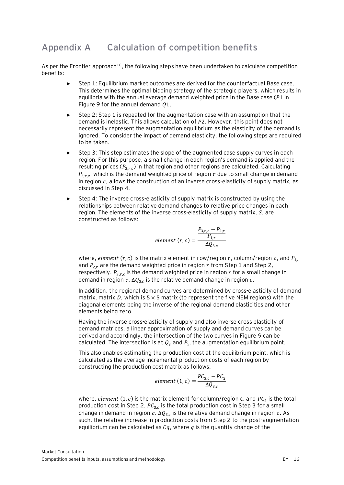## <span id="page-18-0"></span>**Appendix A Calculation of competition benefits**

As per the Frontier approach<sup>[16](#page-7-1)</sup>, the following steps have been undertaken to calculate competition benefits:

- Step 1: Equilibrium market outcomes are derived for the counterfactual Base case. This determines the optimal bidding strategy of the strategic players, which results in equilibria with the annual average demand weighted price in the Base case ( $P1$  in [Figure 9](#page-19-0) for the annual demand  $Q1$ .
- Step 2: Step 1 is repeated for the augmentation case with an assumption that the demand is inelastic. This allows calculation of P2. However, this point does not necessarily represent the augmentation equilibrium as the elasticity of the demand is ignored. To consider the impact of demand elasticity, the following steps are required to be taken.
- Step 3: This step estimates the slope of the augmented case supply curves in each region. For this purpose, a small change in each region's demand is applied and the resulting prices ( $P_{3,r,c}$ ) in that region and other regions are calculated. Calculating  $P_{3,r,c}$ , which is the demand weighted price of region  $r$  due to small change in demand in region  $c$ , allows the construction of an inverse cross-elasticity of supply matrix, as discussed in Step 4.
- Step 4: The inverse cross-elasticity of supply matrix is constructed by using the relationships between relative demand changes to relative price changes in each region. The elements of the inverse cross-elasticity of supply matrix,  $S$ , are constructed as follows:

$$
element (r, c) = \frac{\frac{P_{3,r,c} - P_{2,r}}{P_{1,r}}}{\Delta Q_{3,c}}
$$

where, *element*  $(r, c)$  is the matrix element in row/region r, column/region c, and  $P_{1r}$ and  $P_{2,r}$  are the demand weighted price in region  $r$  from Step 1 and Step 2, respectively.  $P_{3,r,c}$  is the demand weighted price in region  $r$  for a small change in demand in region  $c.$   $\Delta Q_{3,c}$  is the relative demand change in region  $c.$ 

In addition, the regional demand curves are determined by cross-elasticity of demand matrix, matrix D, which is  $5 \times 5$  matrix (to represent the five NEM regions) with the diagonal elements being the inverse of the regional demand elasticities and other elements being zero.

Having the inverse cross-elasticity of supply and also inverse cross elasticity of demand matrices, a linear approximation of supply and demand curves can be derived and accordingly, the intersection of the two curves in [Figure 9](#page-19-0) can be calculated. The intersection is at  $Q_3$  and  $P_4$ , the augmentation equilibrium point.

This also enables estimating the production cost at the equilibrium point, which is calculated as the average incremental production costs of each region by constructing the production cost matrix as follows:

element 
$$
(1, c) = \frac{PC_{3,c} - PC_2}{\Delta Q_{3,c}}
$$

where, *element* (1, c) is the matrix element for column/region c, and  $PC<sub>2</sub>$  is the total production cost in Step 2.  $PC_{3,c}$  is the total production cost in Step 3 for a small change in demand in region  $c.$   $\Delta Q_{3,c}$  is the relative demand change in region  $c.$  As such, the relative increase in production costs from Step 2 to the post-augmentation equilibrium can be calculated as  $Cq$ , where q is the quantity change of the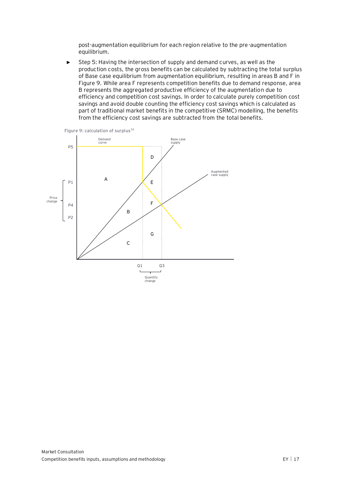post-augmentation equilibrium for each region relative to the pre-augmentation equilibrium.

► Step 5: Having the intersection of supply and demand curves, as well as the production costs, the gross benefits can be calculated by subtracting the total surplus of Base case equilibrium from augmentation equilibrium, resulting in areas B and F in [Figure 9.](#page-19-0) While area F represents competition benefits due to demand response, area B represents the aggregated productive efficiency of the augmentation due to efficiency and competition cost savings. In order to calculate purely competition cost savings and avoid double counting the efficiency cost savings which is calculated as part of traditional market benefits in the competitive (SRMC) modelling, the benefits from the efficiency cost savings are subtracted from the total benefits.

<span id="page-19-0"></span>

Market Consultation Competition benefits inputs, assumptions and methodology example of the state of the EY | 17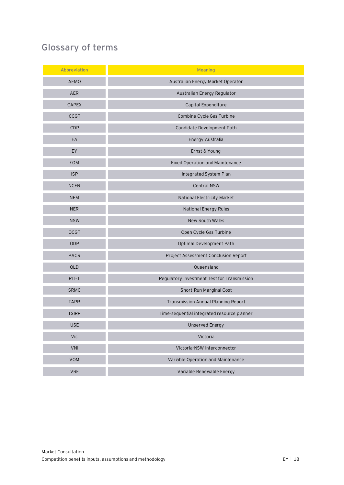# <span id="page-20-0"></span>**Glossary of terms**

| Abbreviation | <b>Meaning</b>                              |
|--------------|---------------------------------------------|
| AEMO         | Australian Energy Market Operator           |
| <b>AER</b>   | Australian Energy Regulator                 |
| CAPEX        | Capital Expenditure                         |
| <b>CCGT</b>  | Combine Cycle Gas Turbine                   |
| CDP          | Candidate Development Path                  |
| EA           | Energy Australia                            |
| EY           | Ernst & Young                               |
| <b>FOM</b>   | Fixed Operation and Maintenance             |
| <b>ISP</b>   | Integrated System Plan                      |
| <b>NCEN</b>  | Central NSW                                 |
| <b>NEM</b>   | National Electricity Market                 |
| <b>NER</b>   | <b>National Energy Rules</b>                |
| <b>NSW</b>   | New South Wales                             |
| <b>OCGT</b>  | Open Cycle Gas Turbine                      |
| ODP          | Optimal Development Path                    |
| PACR         | Project Assessment Conclusion Report        |
| QLD          | Queensland                                  |
| $RIT-T$      | Regulatory Investment Test for Transmission |
| SRMC         | Short-Run Marginal Cost                     |
| <b>TAPR</b>  | Transmission Annual Planning Report         |
| <b>TSIRP</b> | Time-sequential integrated resource planner |
| <b>USE</b>   | <b>Unserved Energy</b>                      |
| Vic          | Victoria                                    |
| VNI          | Victoria-NSW Interconnector                 |
| VOM          | Variable Operation and Maintenance          |
| <b>VRE</b>   | Variable Renewable Energy                   |